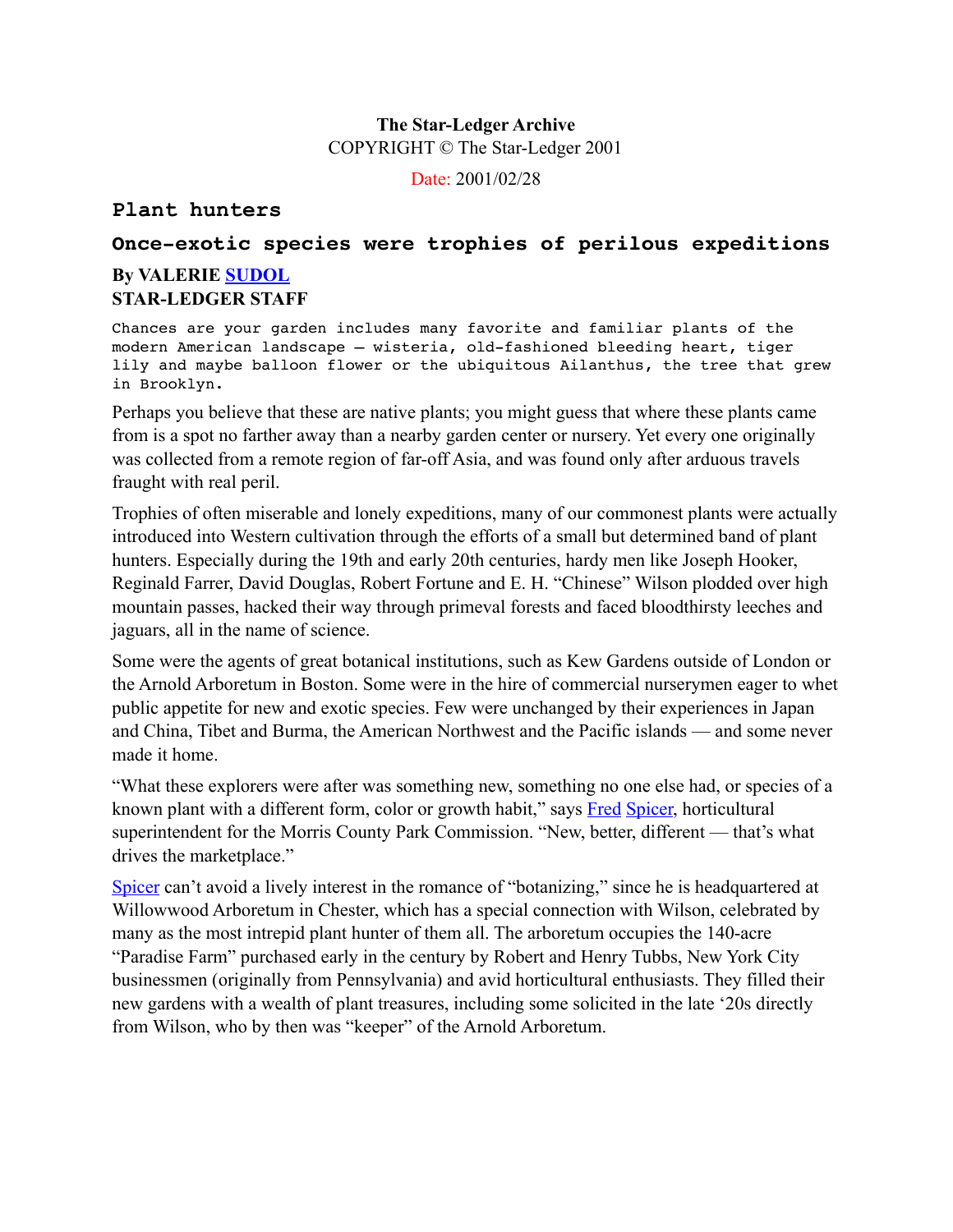## **The Star-Ledger Archive** COPYRIGHT © The Star-Ledger 2001

Date: 2001/02/28

## **Plant hunters**

# **Once-exotic species were trophies of perilous expeditions By VALERIE [SUDOL](http://search.starledger.com/texis/search/+KewxTGe+drKmBm9eyTn-wwwmnFqt5c+XXWhFqq5c/story.html#hit2)**

# **STAR-LEDGER STAFF**

Chances are your garden includes many favorite and familiar plants of the modern American landscape — wisteria, old-fashioned bleeding heart, tiger lily and maybe balloon flower or the ubiquitous Ailanthus, the tree that grew in Brooklyn.

Perhaps you believe that these are native plants; you might guess that where these plants came from is a spot no farther away than a nearby garden center or nursery. Yet every one originally was collected from a remote region of far-off Asia, and was found only after arduous travels fraught with real peril.

Trophies of often miserable and lonely expeditions, many of our commonest plants were actually introduced into Western cultivation through the efforts of a small but determined band of plant hunters. Especially during the 19th and early 20th centuries, hardy men like Joseph Hooker, Reginald Farrer, David Douglas, Robert Fortune and E. H. "Chinese" Wilson plodded over high mountain passes, hacked their way through primeval forests and faced bloodthirsty leeches and jaguars, all in the name of science.

Some were the agents of great botanical institutions, such as Kew Gardens outside of London or the Arnold Arboretum in Boston. Some were in the hire of commercial nurserymen eager to whet public appetite for new and exotic species. Few were unchanged by their experiences in Japan and China, Tibet and Burma, the American Northwest and the Pacific islands — and some never made it home.

"What these explorers were after was something new, something no one else had, or species of a known plant with a different form, color or growth habit," says [Fred](http://search.starledger.com/texis/search/+KewxTGe+drKmBm9eyTn-wwwmnFqt5c+XXWhFqq5c/story.html#hit3) [Spicer,](http://search.starledger.com/texis/search/+KewxTGe+drKmBm9eyTn-wwwmnFqt5c+XXWhFqq5c/story.html#hit4) horticultural superintendent for the Morris County Park Commission. "New, better, different — that's what drives the marketplace."

[Spicer](http://search.starledger.com/texis/search/+KewxTGe+drKmBm9eyTn-wwwmnFqt5c+XXWhFqq5c/story.html#hit5) can't avoid a lively interest in the romance of "botanizing," since he is headquartered at Willowwood Arboretum in Chester, which has a special connection with Wilson, celebrated by many as the most intrepid plant hunter of them all. The arboretum occupies the 140-acre "Paradise Farm" purchased early in the century by Robert and Henry Tubbs, New York City businessmen (originally from Pennsylvania) and avid horticultural enthusiasts. They filled their new gardens with a wealth of plant treasures, including some solicited in the late '20s directly from Wilson, who by then was "keeper" of the Arnold Arboretum.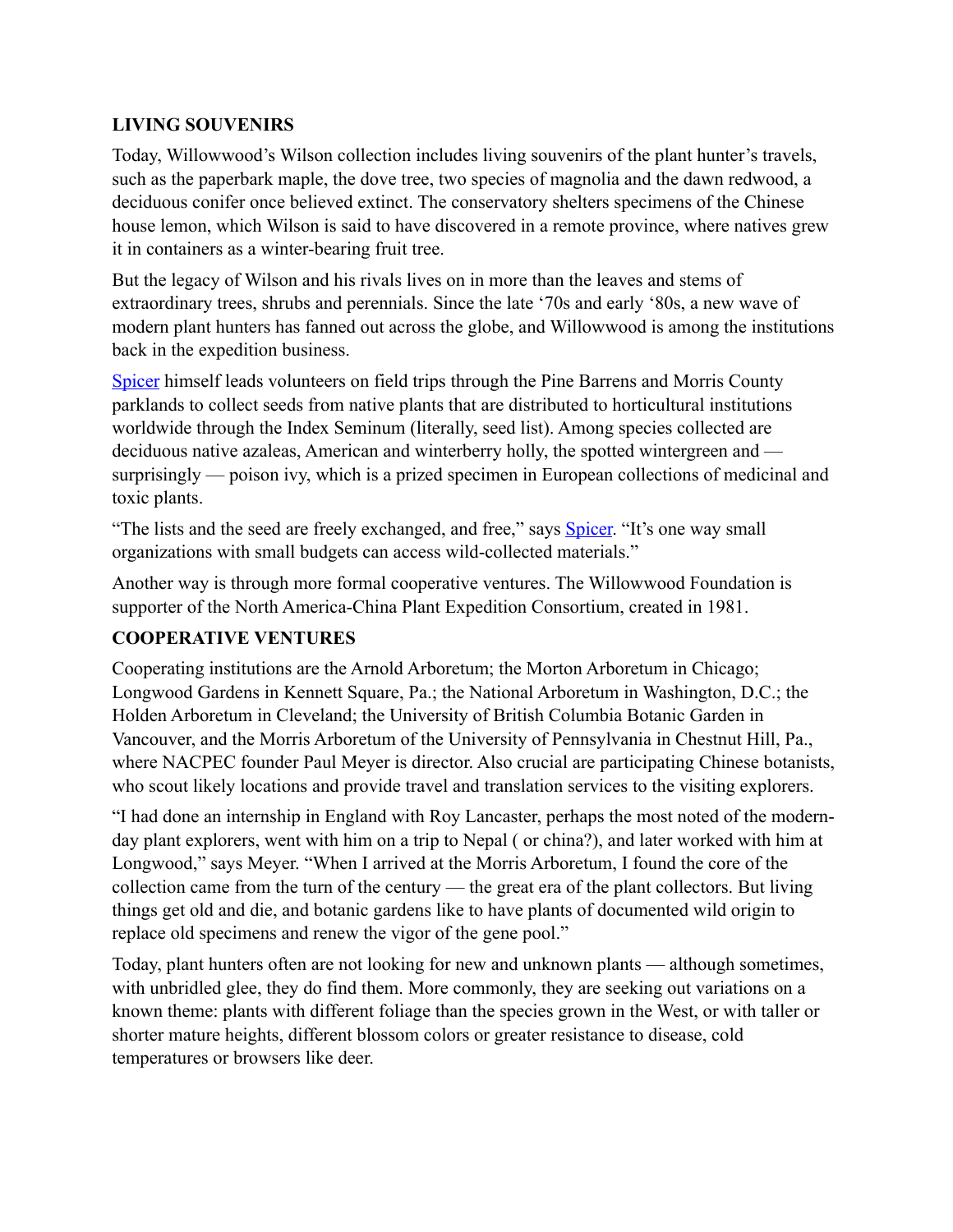#### **LIVING SOUVENIRS**

Today, Willowwood's Wilson collection includes living souvenirs of the plant hunter's travels, such as the paperbark maple, the dove tree, two species of magnolia and the dawn redwood, a deciduous conifer once believed extinct. The conservatory shelters specimens of the Chinese house lemon, which Wilson is said to have discovered in a remote province, where natives grew it in containers as a winter-bearing fruit tree.

But the legacy of Wilson and his rivals lives on in more than the leaves and stems of extraordinary trees, shrubs and perennials. Since the late '70s and early '80s, a new wave of modern plant hunters has fanned out across the globe, and Willowwood is among the institutions back in the expedition business.

[Spicer](http://search.starledger.com/texis/search/+KewxTGe+drKmBm9eyTn-wwwmnFqt5c+XXWhFqq5c/story.html#hit6) himself leads volunteers on field trips through the Pine Barrens and Morris County parklands to collect seeds from native plants that are distributed to horticultural institutions worldwide through the Index Seminum (literally, seed list). Among species collected are deciduous native azaleas, American and winterberry holly, the spotted wintergreen and surprisingly — poison ivy, which is a prized specimen in European collections of medicinal and toxic plants.

"The lists and the seed are freely exchanged, and free," says **Spicer**. "It's one way small organizations with small budgets can access wild-collected materials."

Another way is through more formal cooperative ventures. The Willowwood Foundation is supporter of the North America-China Plant Expedition Consortium, created in 1981.

## **COOPERATIVE VENTURES**

Cooperating institutions are the Arnold Arboretum; the Morton Arboretum in Chicago; Longwood Gardens in Kennett Square, Pa.; the National Arboretum in Washington, D.C.; the Holden Arboretum in Cleveland; the University of British Columbia Botanic Garden in Vancouver, and the Morris Arboretum of the University of Pennsylvania in Chestnut Hill, Pa., where NACPEC founder Paul Meyer is director. Also crucial are participating Chinese botanists, who scout likely locations and provide travel and translation services to the visiting explorers.

"I had done an internship in England with Roy Lancaster, perhaps the most noted of the modernday plant explorers, went with him on a trip to Nepal ( or china?), and later worked with him at Longwood," says Meyer. "When I arrived at the Morris Arboretum, I found the core of the collection came from the turn of the century — the great era of the plant collectors. But living things get old and die, and botanic gardens like to have plants of documented wild origin to replace old specimens and renew the vigor of the gene pool."

Today, plant hunters often are not looking for new and unknown plants — although sometimes, with unbridled glee, they do find them. More commonly, they are seeking out variations on a known theme: plants with different foliage than the species grown in the West, or with taller or shorter mature heights, different blossom colors or greater resistance to disease, cold temperatures or browsers like deer.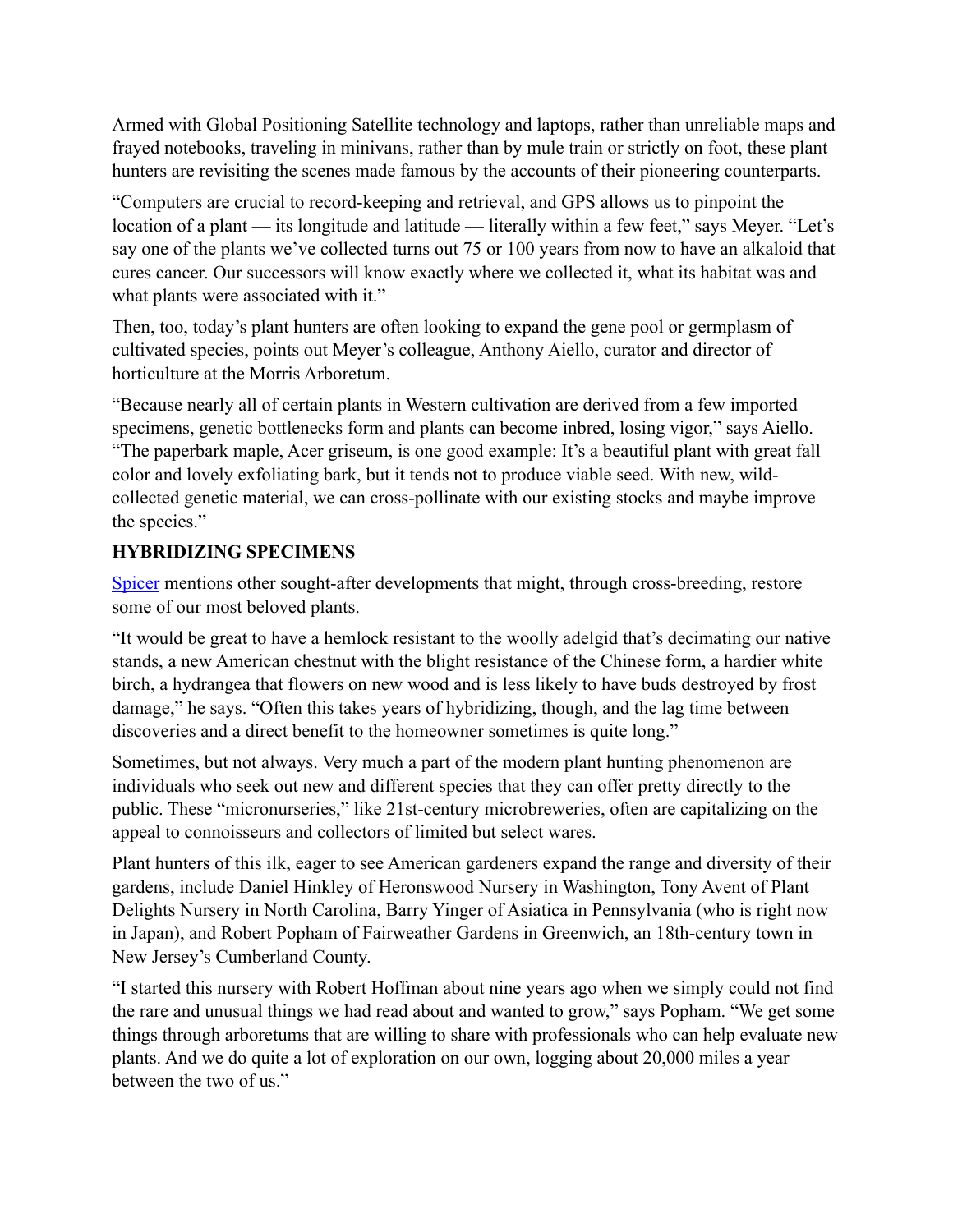Armed with Global Positioning Satellite technology and laptops, rather than unreliable maps and frayed notebooks, traveling in minivans, rather than by mule train or strictly on foot, these plant hunters are revisiting the scenes made famous by the accounts of their pioneering counterparts.

"Computers are crucial to record-keeping and retrieval, and GPS allows us to pinpoint the location of a plant — its longitude and latitude — literally within a few feet," says Meyer. "Let's say one of the plants we've collected turns out 75 or 100 years from now to have an alkaloid that cures cancer. Our successors will know exactly where we collected it, what its habitat was and what plants were associated with it."

Then, too, today's plant hunters are often looking to expand the gene pool or germplasm of cultivated species, points out Meyer's colleague, Anthony Aiello, curator and director of horticulture at the Morris Arboretum.

"Because nearly all of certain plants in Western cultivation are derived from a few imported specimens, genetic bottlenecks form and plants can become inbred, losing vigor," says Aiello. "The paperbark maple, Acer griseum, is one good example: It's a beautiful plant with great fall color and lovely exfoliating bark, but it tends not to produce viable seed. With new, wildcollected genetic material, we can cross-pollinate with our existing stocks and maybe improve the species."

# **HYBRIDIZING SPECIMENS**

[Spicer](http://search.starledger.com/texis/search/+KewxTGe+drKmBm9eyTn-wwwmnFqt5c+XXWhFqq5c/story.html#hit8) mentions other sought-after developments that might, through cross-breeding, restore some of our most beloved plants.

"It would be great to have a hemlock resistant to the woolly adelgid that's decimating our native stands, a new American chestnut with the blight resistance of the Chinese form, a hardier white birch, a hydrangea that flowers on new wood and is less likely to have buds destroyed by frost damage," he says. "Often this takes years of hybridizing, though, and the lag time between discoveries and a direct benefit to the homeowner sometimes is quite long."

Sometimes, but not always. Very much a part of the modern plant hunting phenomenon are individuals who seek out new and different species that they can offer pretty directly to the public. These "micronurseries," like 21st-century microbreweries, often are capitalizing on the appeal to connoisseurs and collectors of limited but select wares.

Plant hunters of this ilk, eager to see American gardeners expand the range and diversity of their gardens, include Daniel Hinkley of Heronswood Nursery in Washington, Tony Avent of Plant Delights Nursery in North Carolina, Barry Yinger of Asiatica in Pennsylvania (who is right now in Japan), and Robert Popham of Fairweather Gardens in Greenwich, an 18th-century town in New Jersey's Cumberland County.

"I started this nursery with Robert Hoffman about nine years ago when we simply could not find the rare and unusual things we had read about and wanted to grow," says Popham. "We get some things through arboretums that are willing to share with professionals who can help evaluate new plants. And we do quite a lot of exploration on our own, logging about 20,000 miles a year between the two of us."